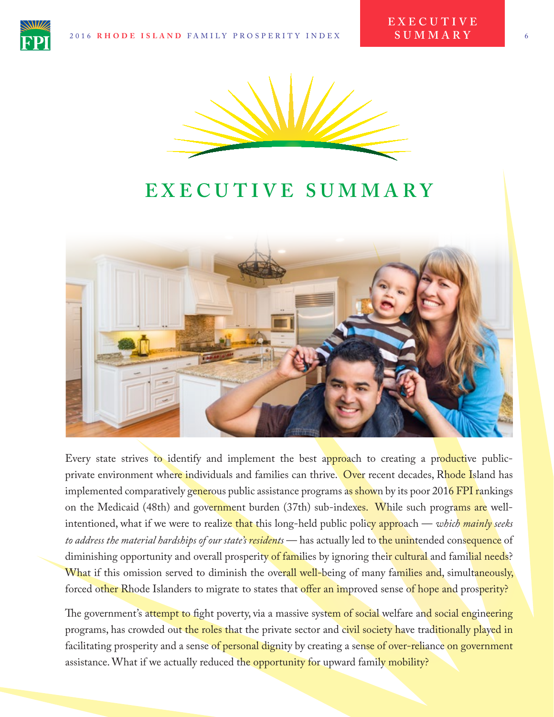

# **EXECUTIVE SUMMARY**



Every state strives to identify and implement the best approach to creating a productive publicprivate environment where individuals and families can thrive. Over recent decades, Rhode Island has implemented comparatively generous public assistance programs as shown by its poor 2016 FPI rankings on the Medicaid (48th) and government burden (37th) sub-indexes. While such programs are wellintentioned, what if we were to realize that this long-held public policy approach — *which mainly seeks to address the material hardships of our state's residents* — has actually led to the unintended consequence of diminishing opportunity and overall prosperity of families by ignoring their cultural and familial needs? What if this omission served to diminish the overall well-being of many families and, simultaneously, forced other Rhode Islanders to migrate to states that offer an improved sense of hope and prosperity?

The government's attempt to fight poverty, via a massive system of social welfare and social engineering programs, has crowded out the roles that the private sector and civil society have traditionally played in facilitating prosperity and a sense of personal dignity by creating a sense of over-reliance on government assistance. What if we actually reduced the opportunity for upward family mobility?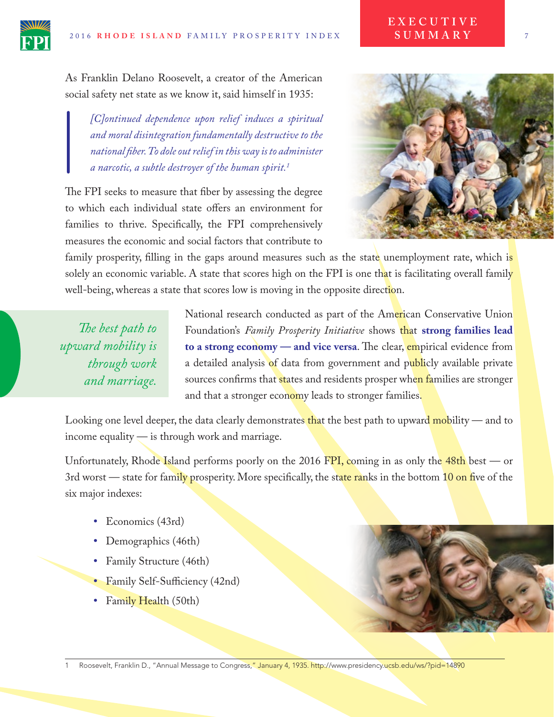As Franklin Delano Roosevelt, a creator of the American social safety net state as we know it, said himself in 1935:

*[C]ontinued dependence upon relief induces a spiritual and moral disintegration fundamentally destructive to the national fber. To dole out relief in this way is to administer a narcotic, a subtle destroyer of the human spirit.1*

The FPI seeks to measure that fiber by assessing the degree to which each individual state offers an environment for families to thrive. Specifcally, the FPI comprehensively measures the economic and social factors that contribute to



**E X E C U T I V E SUMMARY**

family prosperity, filling in the gaps around measures such as the state unemployment rate, which is solely an economic variable. A state that scores high on the FPI is one that is facilitating overall family well-being, whereas a state that scores low is moving in the opposite direction.

*Te best path to upward mobility is through work and marriage.*  National research conducted as part of the American Conservative Union Foundation's *Family Prosperity Initiative* shows that **strong families lead to a strong economy — and vice versa.** The clear, empirical evidence from a detailed analysis of data from government and publicly available private sources confirms that states and residents prosper when families are stronger and that a stronger economy leads to stronger families.

Looking one level deeper, the data clearly demonstrates that the best path to upward mobility — and to income equality — is through work and marriage.

Unfortunately, Rhode Island performs poorly on the 2016 FPI, coming in as only the  $48th$  best — or 3rd worst — state for family prosperity. More specifically, the state ranks in the bottom 10 on five of the six major indexes:

- **•** Economics (43rd)
- **•** Demographics (46th)
- **•** Family Structure (46th)
- Family Self-Sufficiency (42nd)
- Family Health (50th)

Roosevelt, Franklin D., "Annual Message to Congress," January 4, 1935. http://www.presidency.ucsb.edu/ws/?pid=14890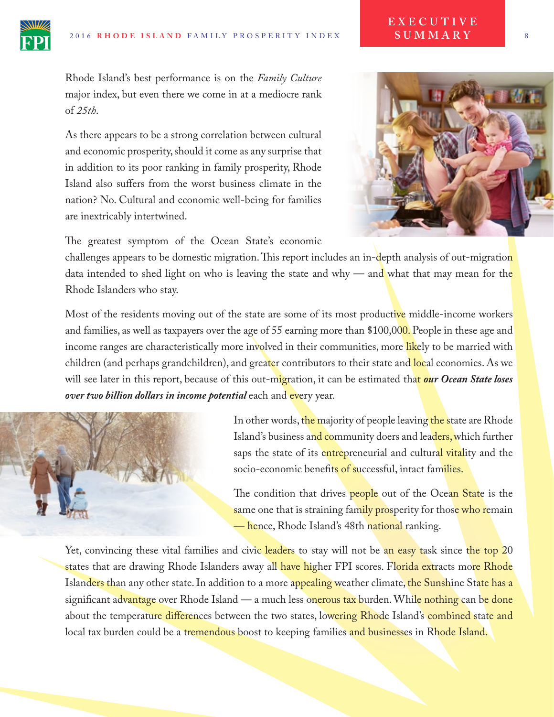

As there appears to be a strong correlation between cultural and economic prosperity, should it come as any surprise that in addition to its poor ranking in family prosperity, Rhode Island also sufers from the worst business climate in the nation? No. Cultural and economic well-being for families are inextricably intertwined.



The greatest symptom of the Ocean State's economic

challenges appears to be domestic migration. This report includes an in-depth analysis of out-migration data intended to shed light on who is leaving the state and why — and what that may mean for the Rhode Islanders who stay.

Most of the residents moving out of the state are some of its most productive middle-income workers and families, as well as taxpayers over the age of 55 earning more than \$100,000. People in these age and income ranges are characteristically more involved in their communities, more likely to be married with children (and perhaps grandchildren), and greater contributors to their state and local economies. As we will see later in this report, because of this out-migration, it can be estimated that *our Ocean State loses over two billion dollars in income potential* each and every year.



In other words, the majority of people leaving the state are Rhode Island's business and community doers and leaders, which further saps the state of its entrepreneurial and cultural vitality and the socio-economic benefits of successful, intact families.

The condition that drives **people** out of the Ocean State is the same one that is straining family prosperity for those who remain — hence, Rhode Island's 48th national ranking.

Yet, convincing these vital families and civic leaders to stay will not be an easy task since the top 20 states that are drawing Rhode Islanders away all have higher FPI scores. Florida extracts more Rhode Islanders than any other state. In addition to a more appealing weather climate, the Sunshine State has a significant advantage over Rhode Island — a much less onerous tax burden. While nothing can be done about the temperature differences between the two states, lowering Rhode Island's combined state and local tax burden could be a tremendous boost to keeping families and businesses in Rhode Island.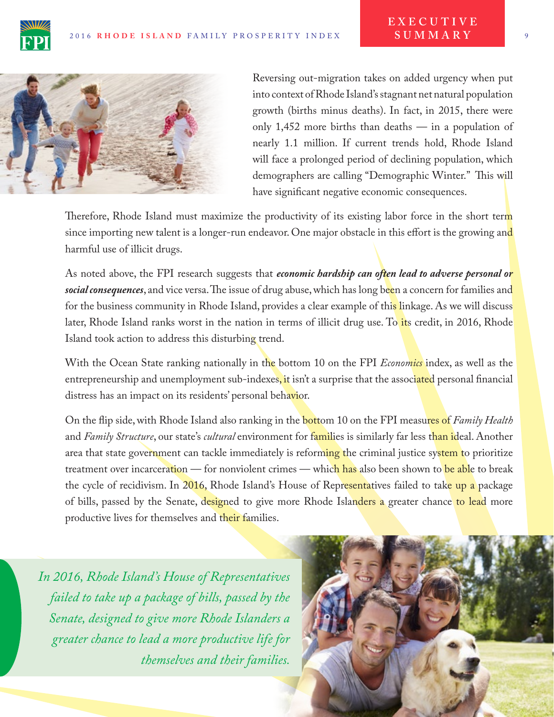



Reversing out-migration takes on added urgency when put into context of Rhode Island's stagnant net natural population growth (births minus deaths). In fact, in 2015, there were only 1,452 more births than deaths — in a population of nearly 1.1 million. If current trends hold, Rhode Island will face a prolonged period of declining population, which demographers are calling "Demographic Winter." This will have signifcant negative economic consequences.

Therefore, Rhode Island must maximize the productivity of its existing labor force in the short term since importing new talent is a longer-run endeavor. One major obstacle in this effort is the growing and harmful use of illicit drugs.

As noted above, the FPI research suggests that *economic hardship can often lead to adverse personal or social consequences*, and vice versa. The issue of drug abuse, which has long been a concern for families and for the business community in Rhode Island, provides a clear example of this linkage. As we will discuss later, Rhode Island ranks worst in the nation in terms of illicit drug use. To its credit, in 2016, Rhode Island took action to address this disturbing trend.

With the Ocean State ranking nationally in the bottom 10 on the FPI *Economics* index, as well as the entrepreneurship and unemployment sub-indexes, it isn't a surprise that the associated personal financial distress has an impact on its residents' personal behavior.

On the fip side, with Rhode Island also ranking in the bottom 10 on the FPI measures of *Family Health* and *Family Structure*, our state's *cultural* environment for families is similarly far less than ideal. Another area that state government can tackle immediately is reforming the criminal justice system to prioritize treatment over incarceration — for nonviolent crimes — which has also been shown to be able to break the cycle of recidivism. In 2016, Rhode Island's House of Representatives failed to take up a package of bills, passed by the Senate, designed to give more Rhode Islanders a greater chance to lead more productive lives for themselves and their families.

*In 2016, Rhode Island's House of Representatives failed to take up a package of bills, passed by the Senate, designed to give more Rhode Islanders a greater chance to lead a more productive life for themselves and their families.*

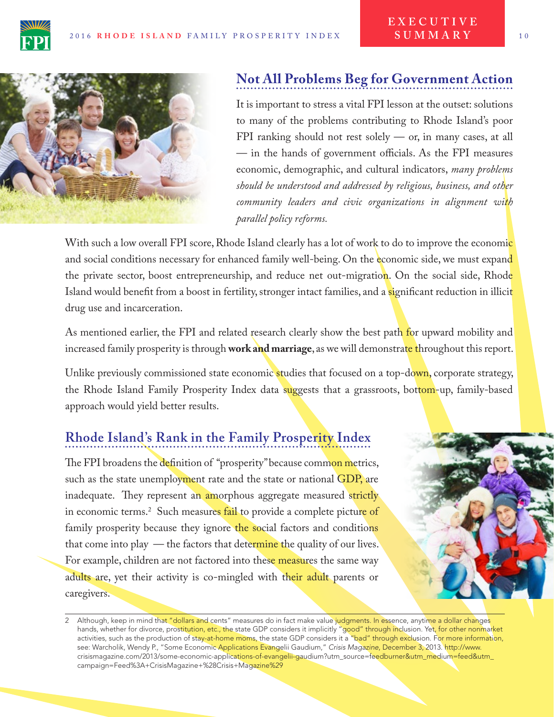

#### **Not All Problems Beg for Government Action**

It is important to stress a vital FPI lesson at the outset: solutions to many of the problems contributing to Rhode Island's poor FPI ranking should not rest solely — or, in many cases, at all  $-$  in the hands of government officials. As the FPI measures economic, demographic, and cultural indicators, *many problems should be understood and addressed by religious, business, and other community leaders and civic organizations in alignment with parallel policy reforms.*

With such a low overall FPI score, Rhode Island clearly has a lot of work to do to improve the economic and social conditions necessary for enhanced family well-being. On the economic side, we must expand the private sector, boost entrepreneurship, and reduce net out-migration. On the social side, Rhode Island would benefit from a boost in fertility, stronger intact families, and a significant reduction in illicit drug use and incarceration.

As mentioned earlier, the FPI and related research clearly show the best path for upward mobility and increased family prosperity is through **work and marriage**, as we will demonstrate throughout this report.

Unlike previously commissioned state economic studies that focused on a top-down, corporate strategy, the Rhode Island Family Prosperity Index data suggests that a grassroots, bottom-up, family-based approach would yield better results.

#### **Rhode Island's Rank in the Family Prosperity Index**

The FPI broadens the definition of "prosperity" because common metrics, such as the state unemployment rate and the state or national GDP, are inadequate. They represent an amorphous aggregate measured strictly in economic terms.<sup>2</sup> Such measure<mark>s fail</mark> to provide a complete picture of family prosperity because they ignore the social factors and conditions that come into play — the factors that determine the quality of our lives. For example, children are not factored into these measures the same way adults are, yet their activity is co-mingled with their adult parents or caregivers.



<sup>2</sup> Although, keep in mind that "dollars and cents" measures do in fact make value judgments. In essence, anytime a dollar changes hands, whether for divorce, prostitution, etc., the state GDP considers it implicitly "good" through inclusion. Yet, for other nonmarket activities, such as the production of stay-at-home moms, the state GDP considers it a "bad" through exclusion. For more information, see: Warcholik, Wendy P., "Some Economic Applications Evangelii Gaudium," *Crisis Magazine*, December 3, 2013[. http://www.](http://www.crisismagazine.com/2013/some-economic-applications-of-evangelii-gaudium?utm_source=feedburner&utm_medium=feed&utm_campaign=Feed%3A+CrisisMagazine+%28Crisis+Magazine%29) [crisismagazine.com/2013/some-economic-applications-of-evangelii-gaudium?utm\\_source=feedburner&utm\\_medium=feed&utm\\_](http://www.crisismagazine.com/2013/some-economic-applications-of-evangelii-gaudium?utm_source=feedburner&utm_medium=feed&utm_campaign=Feed%3A+CrisisMagazine+%28Crisis+Magazine%29) [campaign=Feed%3A+CrisisMagazine+%28Crisis+Magazine%29](http://www.crisismagazine.com/2013/some-economic-applications-of-evangelii-gaudium?utm_source=feedburner&utm_medium=feed&utm_campaign=Feed%3A+CrisisMagazine+%28Crisis+Magazine%29)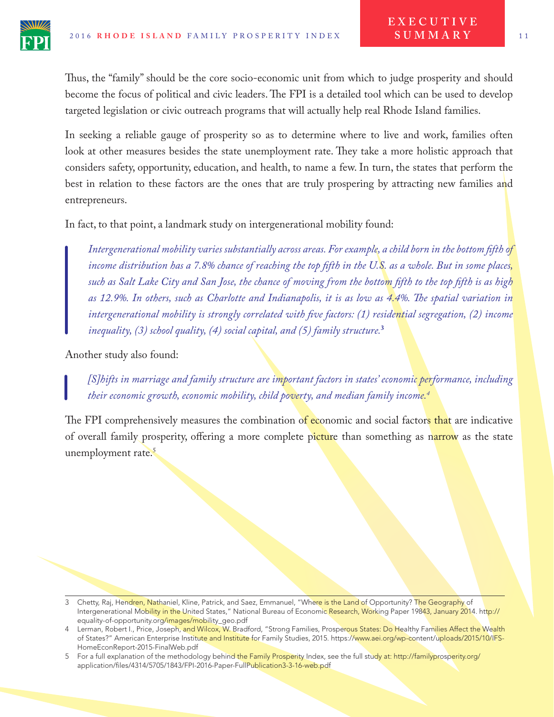

Thus, the "family" should be the core socio-economic unit from which to judge prosperity and should become the focus of political and civic leaders. The FPI is a detailed tool which can be used to develop targeted legislation or civic outreach programs that will actually help real Rhode Island families.

In seeking a reliable gauge of prosperity so as to determine where to live and work, families often look at other measures besides the state unemployment rate. They take a more holistic approach that considers safety, opportunity, education, and health, to name a few. In turn, the states that perform the best in relation to these factors are the ones that are truly prospering by attracting new families and entrepreneurs.

In fact, to that point, a landmark study on intergenerational mobility found:

*Intergenerational mobility varies substantially across areas. For example, a child born in the bottom ffth of income distribution has a 7.8% chance of reaching the top ffth in the U.S. as a whole. But in some places, such as Salt Lake City and San Jose, the chance of moving from the bottom ffth to the top ffth is as high as 12.9%. In others, such as Charlotte and Indianapolis, it is as low as 4.4%. Te spatial variation in intergenerational mobility is strongly correlated with fve factors: (1) residential segregation, (2) income inequality, (3) school quality, (4) social capital, and (5) family structure.***<sup>3</sup>**

Another study also found:

*[S]hifts in marriage and family structure are important factors in states' economic performance, including their economic growth, economic mobility, child poverty, and median family income.4*

The FPI comprehensively measures the combination of economic and social factors that are indicative of overall family prosperity, offering a more complete picture than something as narrow as the state unemployment rate.<sup>5</sup>

<sup>3</sup> Chetty, Raj, Hendren, Nathaniel, Kline, Patrick, and Saez, Emmanuel, "Where is the Land of Opportunity? The Geography of Intergenerational Mobility in the United States," National Bureau of Economic Research, Working Paper 19843, January 2014. http:// equality-of-opportunity.org/images/mobility\_geo.pdf

<sup>4</sup> Lerman, Robert I., Price, Joseph, and Wilcox, W. Bradford, "Strong Families, Prosperous States: Do Healthy Families Affect the Wealth of States?" American Enterprise Institute and Institute for Family Studies, 2015. https://www.aei.org/wp-content/uploads/2015/10/IFS-HomeEconReport-2015-FinalWeb.pdf

<sup>5</sup> For a full explanation of the methodology behind the Family Prosperity Index, see the full study at: http://familyprosperity.org/ application/files/4314/5705/1843/FPI-2016-Paper-FullPublication3-3-16-web.pdf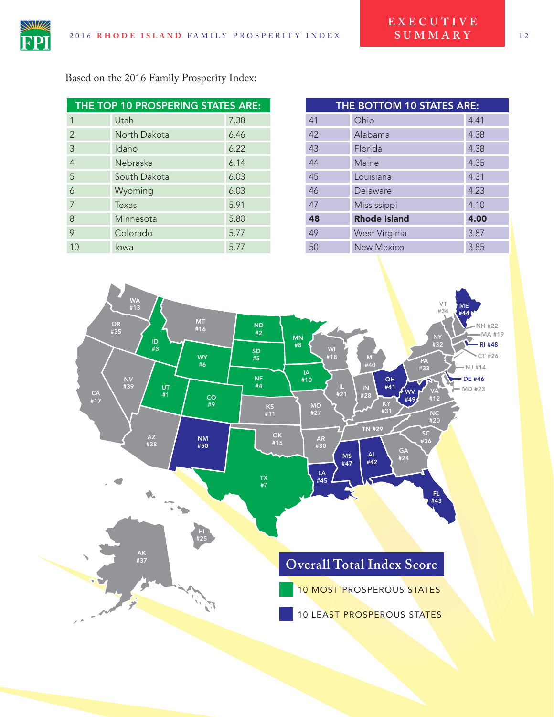

Based on the 2016 Family Prosperity Index:

|                | THE TOP 10 PROSPERING STATES ARE: |      |    | THE BOTTOM 10 STATES ARE: |
|----------------|-----------------------------------|------|----|---------------------------|
|                | Utah                              | 7.38 | 41 | Ohio                      |
| $\overline{2}$ | North Dakota                      | 6.46 | 42 | Alabama                   |
| 3              | Idaho                             | 6.22 | 43 | Florida                   |
| 4              | Nebraska                          | 6.14 | 44 | Maine                     |
| 5              | South Dakota                      | 6.03 | 45 | Louisiana                 |
| 6              | Wyoming                           | 6.03 | 46 | Delaware                  |
|                | Texas                             | 5.91 | 47 | Mississippi               |
| 8              | Minnesota                         | 5.80 | 48 | <b>Rhode Island</b>       |
| 9              | Colorado                          | 5.77 | 49 | West Virginia             |
| 10             | lowa                              | 5.77 | 50 | <b>New Mexico</b>         |

| THE BOTTOM 10 STATES ARE: |                     |      |  |  |  |  |  |
|---------------------------|---------------------|------|--|--|--|--|--|
| 41                        | Ohio                | 4.41 |  |  |  |  |  |
| 42                        | Alabama             | 4.38 |  |  |  |  |  |
| 43                        | Florida             | 4.38 |  |  |  |  |  |
| 44                        | Maine               | 4.35 |  |  |  |  |  |
| 45                        | Louisiana           | 4.31 |  |  |  |  |  |
| 46                        | Delaware            | 4.23 |  |  |  |  |  |
| 47                        | Mississippi         | 4.10 |  |  |  |  |  |
| 48                        | <b>Rhode Island</b> | 4.00 |  |  |  |  |  |
| 49                        | West Virginia       | 3.87 |  |  |  |  |  |
| 50                        | New Mexico          | 3.85 |  |  |  |  |  |